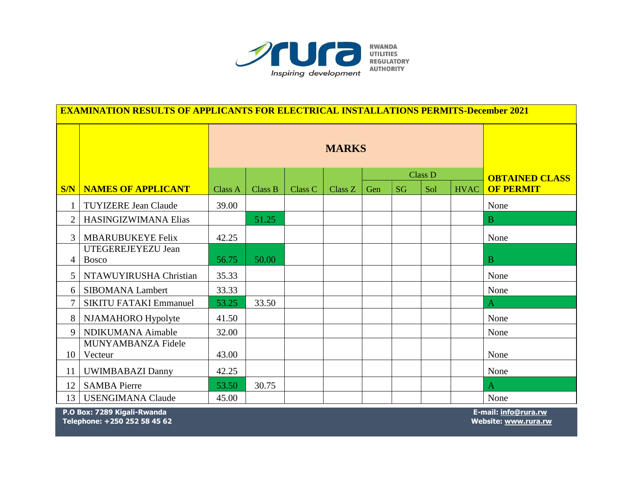

| <b>EXAMINATION RESULTS OF APPLICANTS FOR ELECTRICAL INSTALLATIONS PERMITS-December 2021</b> |                                    |              |         |         |                       |     |           |     |             |                  |
|---------------------------------------------------------------------------------------------|------------------------------------|--------------|---------|---------|-----------------------|-----|-----------|-----|-------------|------------------|
|                                                                                             |                                    | <b>MARKS</b> |         |         |                       |     |           |     |             |                  |
|                                                                                             |                                    |              |         |         | <b>OBTAINED CLASS</b> |     |           |     |             |                  |
| S/N                                                                                         | <b>NAMES OF APPLICANT</b>          | Class A      | Class B | Class C | Class Z               | Gen | <b>SG</b> | Sol | <b>HVAC</b> | <b>OF PERMIT</b> |
| $\mathbf{1}$                                                                                | <b>TUYIZERE Jean Claude</b>        | 39.00        |         |         |                       |     |           |     |             | None             |
| $\overline{2}$                                                                              | HASINGIZWIMANA Elias               |              | 51.25   |         |                       |     |           |     |             | B                |
| 3                                                                                           | <b>MBARUBUKEYE Felix</b>           | 42.25        |         |         |                       |     |           |     |             | None             |
| 4                                                                                           | UTEGEREJEYEZU Jean<br><b>Bosco</b> | 56.75        | 50.00   |         |                       |     |           |     |             | $\overline{B}$   |
| 5                                                                                           | NTAWUYIRUSHA Christian             | 35.33        |         |         |                       |     |           |     |             | None             |
| 6                                                                                           | <b>SIBOMANA Lambert</b>            | 33.33        |         |         |                       |     |           |     |             | None             |
| 7                                                                                           | <b>SIKITU FATAKI Emmanuel</b>      | 53.25        | 33.50   |         |                       |     |           |     |             | $\overline{A}$   |
| 8                                                                                           | NJAMAHORO Hypolyte                 | 41.50        |         |         |                       |     |           |     |             | None             |
| 9                                                                                           | NDIKUMANA Aimable                  | 32.00        |         |         |                       |     |           |     |             | None             |
| 10                                                                                          | MUNYAMBANZA Fidele<br>Vecteur      | 43.00        |         |         |                       |     |           |     |             | None             |
| 11                                                                                          | <b>UWIMBABAZI Danny</b>            | 42.25        |         |         |                       |     |           |     |             | None             |
| 12                                                                                          | <b>SAMBA Pierre</b>                | 53.50        | 30.75   |         |                       |     |           |     |             | A                |
| 13                                                                                          | <b>USENGIMANA Claude</b>           | 45.00        |         |         |                       |     |           |     |             | None             |

 **P.O Box: 7289 Kigali-Rwanda E-mail: [info@rura.rw](mailto:info@rura.rw)**

 **Telephone: +250 252 58 45 62 Website[: www.rura.rw](http://www.rura.rw/)**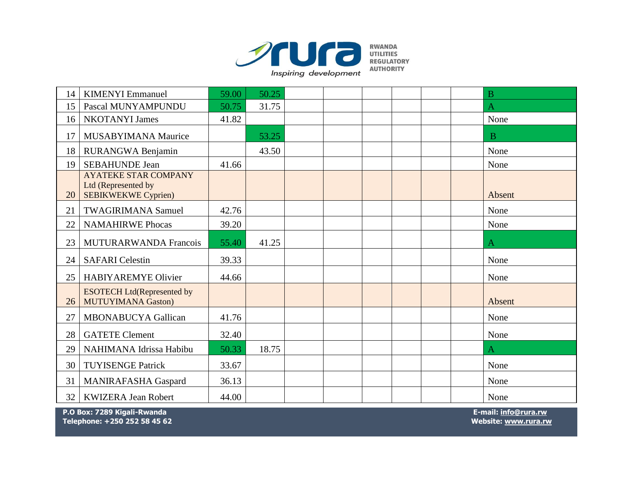

|    | <b>KIMENYI</b> Emmanuel                                                          | 59.00 | 50.25 |  | B              |
|----|----------------------------------------------------------------------------------|-------|-------|--|----------------|
| 14 |                                                                                  |       |       |  |                |
| 15 | Pascal MUNYAMPUNDU                                                               | 50.75 | 31.75 |  | $\overline{A}$ |
| 16 | <b>NKOTANYI James</b>                                                            | 41.82 |       |  | None           |
| 17 | <b>MUSABYIMANA Maurice</b>                                                       |       | 53.25 |  | B              |
| 18 | RURANGWA Benjamin                                                                |       | 43.50 |  | None           |
| 19 | <b>SEBAHUNDE Jean</b>                                                            | 41.66 |       |  | None           |
| 20 | <b>AYATEKE STAR COMPANY</b><br>Ltd (Represented by<br><b>SEBIKWEKWE Cyprien)</b> |       |       |  | Absent         |
| 21 | <b>TWAGIRIMANA Samuel</b>                                                        | 42.76 |       |  | None           |
| 22 | <b>NAMAHIRWE Phocas</b>                                                          | 39.20 |       |  | None           |
| 23 | <b>MUTURARWANDA Francois</b>                                                     | 55.40 | 41.25 |  | Α              |
| 24 | <b>SAFARI</b> Celestin                                                           | 39.33 |       |  | None           |
| 25 | <b>HABIYAREMYE Olivier</b>                                                       | 44.66 |       |  | None           |
| 26 | <b>ESOTECH Ltd(Represented by</b><br><b>MUTUYIMANA Gaston)</b>                   |       |       |  | Absent         |
| 27 | <b>MBONABUCYA Gallican</b>                                                       | 41.76 |       |  | None           |
| 28 | <b>GATETE Clement</b>                                                            | 32.40 |       |  | None           |
| 29 | NAHIMANA Idrissa Habibu                                                          | 50.33 | 18.75 |  | A              |
| 30 | <b>TUYISENGE Patrick</b>                                                         | 33.67 |       |  | None           |
| 31 | <b>MANIRAFASHA Gaspard</b>                                                       | 36.13 |       |  | None           |
| 32 | <b>KWIZERA Jean Robert</b>                                                       | 44.00 |       |  | None           |

 **P.O Box: 7289 Kigali-Rwanda E-mail: [info@rura.rw](mailto:info@rura.rw) Telephone: +250 252 58 45 62 Website[: www.rura.rw](http://www.rura.rw/)**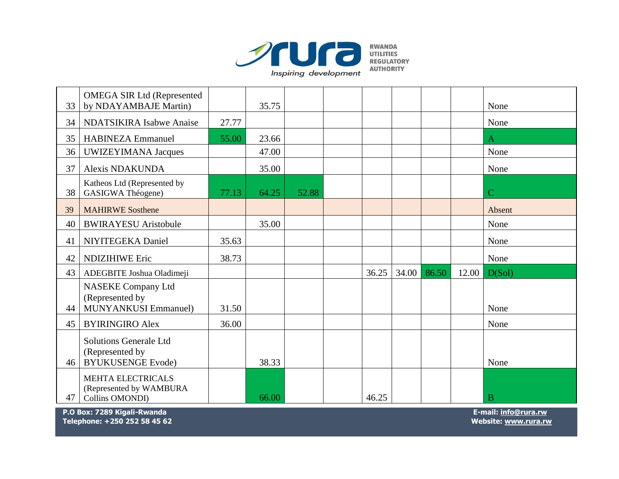

| 33 | <b>OMEGA SIR Ltd (Represented</b><br>by NDAYAMBAJE Martin)                   |       | 35.75 |       |       |       |       |       | None           |
|----|------------------------------------------------------------------------------|-------|-------|-------|-------|-------|-------|-------|----------------|
| 34 | <b>NDATSIKIRA Isabwe Anaise</b>                                              | 27.77 |       |       |       |       |       |       | None           |
| 35 | <b>HABINEZA Emmanuel</b>                                                     | 55.00 | 23.66 |       |       |       |       |       | A              |
| 36 | UWIZEYIMANA Jacques                                                          |       | 47.00 |       |       |       |       |       | None           |
| 37 | <b>Alexis NDAKUNDA</b>                                                       |       | 35.00 |       |       |       |       |       | None           |
| 38 | Katheos Ltd (Represented by<br>GASIGWA Théogene)                             | 77.13 | 64.25 | 52.88 |       |       |       |       | $\overline{C}$ |
| 39 | <b>MAHIRWE Sosthene</b>                                                      |       |       |       |       |       |       |       | Absent         |
| 40 | <b>BWIRAYESU Aristobule</b>                                                  |       | 35.00 |       |       |       |       |       | None           |
| 41 | NIYITEGEKA Daniel                                                            | 35.63 |       |       |       |       |       |       | None           |
| 42 | <b>NDIZIHIWE Eric</b>                                                        | 38.73 |       |       |       |       |       |       | None           |
| 43 | ADEGBITE Joshua Oladimeji                                                    |       |       |       | 36.25 | 34.00 | 86.50 | 12.00 | D(Sol)         |
| 44 | <b>NASEKE Company Ltd</b><br>(Represented by<br><b>MUNYANKUSI Emmanuel)</b>  | 31.50 |       |       |       |       |       |       | None           |
| 45 | <b>BYIRINGIRO Alex</b>                                                       | 36.00 |       |       |       |       |       |       | None           |
| 46 | <b>Solutions Generale Ltd</b><br>(Represented by<br><b>BYUKUSENGE Evode)</b> |       | 38.33 |       |       |       |       |       | None           |
| 47 | <b>MEHTA ELECTRICALS</b><br>(Represented by WAMBURA<br>Collins OMONDI)       |       | 66.00 |       | 46.25 |       |       |       | B              |

 **P.O Box: 7289 Kigali-Rwanda E-mail: [info@rura.rw](mailto:info@rura.rw) Telephone: +250 252 58 45 62 Website[: www.rura.rw](http://www.rura.rw/)**